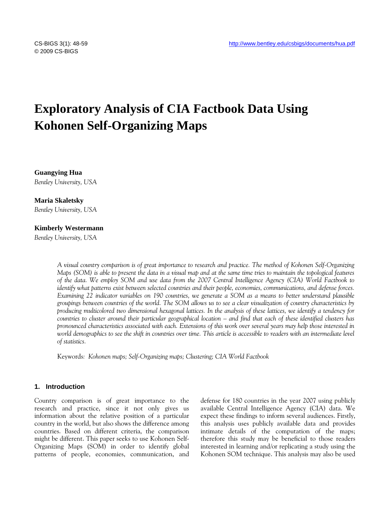# **Exploratory Analysis of CIA Factbook Data Using Kohonen Self-Organizing Maps**

**Guangying Hua**  *Bentley University, USA* 

#### **Maria Skaletsky**

*Bentley University, USA* 

#### **Kimberly Westermann**

*Bentley University, USA* 

*A visual country comparison is of great importance to research and practice. The method of Kohonen Self-Organizing Maps (SOM) is able to present the data in a visual map and at the same time tries to maintain the topological features of the data. We employ SOM and use data from the 2007 Central Intelligence Agency (CIA) World Factbook to identify what patterns exist between selected countries and their people, economies, communications, and defense forces. Examining 22 indicator variables on 190 countries, we generate a SOM as a means to better understand plausible groupings between countries of the world. The SOM allows us to see a clear visualization of country characteristics by producing multicolored two dimensional hexagonal lattices. In the analysis of these lattices, we identify a tendency for countries to cluster around their particular geographical location – and find that each of these identified clusters has pronounced characteristics associated with each. Extensions of this work over several years may help those interested in*  world demographics to see the shift in countries over time. This article is accessible to readers with an intermediate level *of statistics.* 

Keywords*: Kohonen maps; Self-Organizing maps; Clustering; CIA World Factbook* 

#### **1. Introduction**

Country comparison is of great importance to the research and practice, since it not only gives us information about the relative position of a particular country in the world, but also shows the difference among countries. Based on different criteria, the comparison might be different. This paper seeks to use Kohonen Self-Organizing Maps (SOM) in order to identify global patterns of people, economies, communication, and defense for 180 countries in the year 2007 using publicly available Central Intelligence Agency (CIA) data. We expect these findings to inform several audiences. Firstly, this analysis uses publicly available data and provides intimate details of the computation of the maps; therefore this study may be beneficial to those readers interested in learning and/or replicating a study using the Kohonen SOM technique. This analysis may also be used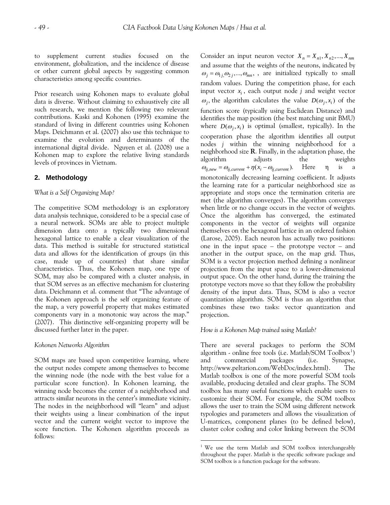<span id="page-1-0"></span>to supplement current studies focused on the Consider an input neuron vector  $X_n = X_{n1}, X_{n2},...,X_{nm}$ environment, globalization, and the incidence of disease or other current global aspects by suggesting common characteristics among specific countries.

Prior research using Kohonen maps to evaluate global data is diverse. Without claiming to exhaustively cite all such research, we mention the following two relevant contributions. Kaski and Kohonen (1995) examine the standard of living in different countries using Kohonen Maps. Deichmann et al. (2007) also use this technique to examine the evolution and determinants of the international digital divide. Nguyen et al. (2008) use a Kohonen map to explore the relative living standards levels of provinces in Vietnam.

# **2. Methodology**

### *What is a Self Organizing Map?*

The competitive SOM methodology is an exploratory data analysis technique, considered to be a special case of a neural network. SOMs are able to project multiple dimension data onto a typically two dimensional hexagonal lattice to enable a clear visualization of the data. This method is suitable for structured statistical data and allows for the identification of groups (in this case, made up of countries) that share similar characteristics. Thus, the Kohonen map, one type of SOM, may also be compared with a cluster analysis, in that SOM serves as an effective mechanism for clustering data. Deichmann et al. comment that "The advantage of the Kohonen approach is the self organizing feature of the map, a very powerful property that makes estimated components vary in a monotonic way across the map." (2007). This distinctive self-organizing property will be discussed further later in the paper.

#### *Kohonen Networks Algorithm*

SOM maps are based upon competitive learning, where the output nodes compete among themselves to become the winning node (the node with the best value for a particular score function). In Kohonen learning, the winning node becomes the center of a neighborhood and attracts similar neurons in the center's immediate vicinity. The nodes in the neighborhood will "learn" and adjust their weights using a linear combination of the input vector and the current weight vector to improve the score function. The Kohonen algorithm proceeds as follows:

and assume that the weights of the neurons, indicated by  $\omega_j = \omega_{1j_1}\omega_{2j_2},...,\omega_{mn}$ , are initialized typically to small random values. During the competition phase, for each input vector *i x* , each output node *j* and weight vector  $\omega_j$ , the algorithm calculates the value  $D(\omega_j, x_i)$  of the function score (typically using Euclidean Distance) and identifies the map position (the best matching unit BMU) where  $D(\omega_j, x_i)$  is optimal (smallest, typically). In the cooperation phase the algorithm identifies all output nodes *j* within the winning neighborhood for a neighborhood size **R**. Finally, in the adaptation phase, the algorithm adjusts the weights  $\omega_{ij,new} = \omega_{ij,current} + \eta(x_i - \omega_{ij,current})$ . Here  $\eta$  is a monotonically decreasing learning coefficient. It adjusts the learning rate for a particular neighborhood size as appropriate and stops once the termination criteria are met (the algorithm converges). The algorithm converges when little or no change occurs in the vector of weights. Once the algorithm has converged, the estimated components in the vector of weights will organize themselves on the hexagonal lattice in an ordered fashion (Larose, 2005). Each neuron has actually two positions: one in the input space – the prototype vector – and another in the output space, on the map grid. Thus, SOM is a vector projection method defining a nonlinear projection from the input space to a lower-dimensional output space. On the other hand, during the training the prototype vectors move so that they follow the probability density of the input data. Thus, SOM is also a vector quantization algorithm. SOM is thus an algorithm that combines these two tasks: vector quantization and projection.

#### *How is a Kohonen Map trained using Matlab?*

There are several packages to perform the SOM algorithm - online free tools (i.e. Matlab/SOM Toolbox<sup>[1](#page-1-0)</sup>) and commercial packages (i.e. Synapse, http://www.peltarion.com/WebDoc/index.html). The Matlab toolbox is one of the more powerful SOM tools available, producing detailed and clear graphs. The SOM toolbox has many useful functions which enable users to customize their SOM. For example, the SOM toolbox allows the user to train the SOM using different network typologies and parameters and allows the visualization of U-matrices, component planes (to be defined below), cluster color coding and color linking between the SOM

<sup>&</sup>lt;sup>1</sup> We use the term Matlab and SOM toolbox interchangeably throughout the paper. Matlab is the specific software package and SOM toolbox is a function package for the software.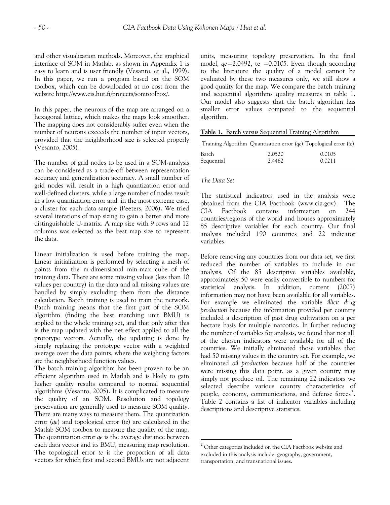and other visualization methods. Moreover, the graphical interface of SOM in Matlab, as shown in Appendix 1 is easy to learn and is user friendly (Vesanto, et al., 1999). In this paper, we run a program based on the SOM toolbox, which can be downloaded at no cost from the website [http://www.cis.hut.fi/projects/somtoolbox/.](http://www.cis.hut.fi/projects/somtoolbox/)

In this paper, the neurons of the map are arranged on a hexagonal lattice, which makes the maps look smoother. The mapping does not considerably suffer even when the number of neurons exceeds the number of input vectors, provided that the neighborhood size is selected properly (Vesanto, 2005).

The number of grid nodes to be used in a SOM-analysis can be considered as a trade-off between representation accuracy and generalization accuracy. A small number of grid nodes will result in a high quantization error and well-defined clusters, while a large number of nodes result in a low quantization error and, in the most extreme case, a cluster for each data sample (Peeters, 2006). We tried several iterations of map sizing to gain a better and more distinguishable U-matrix. A map size with 9 rows and 12 columns was selected as the best map size to represent the data.

Linear initialization is used before training the map. Linear initialization is performed by selecting a mesh of points from the m-dimensional min-max cube of the training data. There are some missing values (less than 10 values per country) in the data and all missing values are handled by simply excluding them from the distance calculation. Batch training is used to train the network. Batch training means that the first part of the SOM algorithm (finding the best matching unit BMU) is applied to the whole training set, and that only after this is the map updated with the net effect applied to all the prototype vectors. Actually, the updating is done by simply replacing the prototype vector with a weighted average over the data points, where the weighting factors are the neighborhood function values.

<span id="page-2-0"></span>The batch training algorithm has been proven to be an efficient algorithm used in Matlab and is likely to gain higher quality results compared to normal sequential algorithms (Vesanto, 2005). It is complicated to measure the quality of an SOM. Resolution and topology preservation are generally used to measure SOM quality. There are many ways to measure them. The quantization error (*qe*) and topological error (*te*) are calculated in the Matlab SOM toolbox to measure the quality of the map. The quantization error *qe* is the average distance between each data vector and its BMU, measuring map resolution. The topological error *te* is the proportion of all data vectors for which first and second BMUs are not adjacent units, measuring topology preservation. In the final model,  $qe=2.0492$ , te  $=0.0105$ . Even though according to the literature the quality of a model cannot be evaluated by these two measures only, we still show a good quality for the map. We compare the batch training and sequential algorithms quality measures in table 1. Our model also suggests that the batch algorithm has smaller error values compared to the sequential algorithm.

**Table 1.** Batch versus Sequential Training Algorithm

|            | Training Algorithm Quantization error $(qe)$ Topological error $(te)$ |        |
|------------|-----------------------------------------------------------------------|--------|
| Batch      | 2.0520                                                                | 0.0105 |
| Sequential | 2.4462                                                                | 0.0211 |

# *The Data Set*

The statistical indicators used in the analysis were obtained from the CIA Factbook (www.cia.gov). The CIA Factbook contains information on 244 countries/regions of the world and houses approximately 85 descriptive variables for each country. Our final analysis included 190 countries and 22 indicator variables.

Before removing any countries from our data set, we first reduced the number of variables to include in our analysis. Of the 85 descriptive variables available, approximately 50 were easily convertible to numbers for statistical analysis. In addition, current (2007) information may not have been available for all variables. For example we eliminated the variable *illicit drug production* because the information provided per country included a description of past drug cultivation on a per hectare basis for multiple narcotics. In further reducing the number of variables for analysis, we found that not all of the chosen indicators were available for all of the countries. We initially eliminated those variables that had 50 missing values in the country set. For example, we eliminated *oil production* because half of the countries were missing this data point, as a given country may simply not produce oil. The remaining 22 indicators we selected describe various country characteristics of people, economy, communications, and defense forces<sup>[2](#page-2-0)</sup>. Table 2 contains a list of indicator variables including descriptions and descriptive statistics.

<sup>&</sup>lt;sup>2</sup> Other categories included on the CIA Factbook website and excluded in this analysis include: geography, government, transportation, and transnational issues.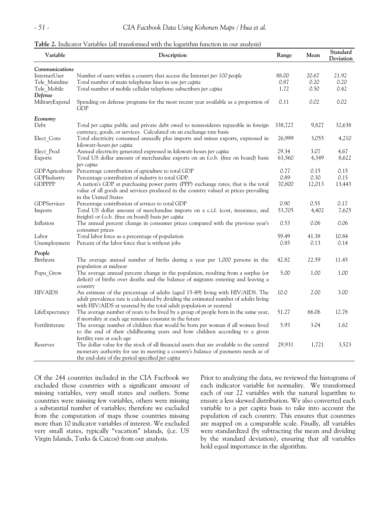| Variable           | Description                                                                                                                                                            | Range   | Mean   | Standard<br>Deviation |
|--------------------|------------------------------------------------------------------------------------------------------------------------------------------------------------------------|---------|--------|-----------------------|
| Communications     |                                                                                                                                                                        |         |        |                       |
| InternetUser       | Number of users within a country that access the Internet per 100 people                                                                                               | 88.00   | 20.67  | 21.92                 |
| Tele Mainline      | Total number of main telephone lines in use per capita                                                                                                                 | 0.87    | 0.20   | 0.20                  |
| Tele Mobile        | Total number of mobile cellular telephone subscribers per capita                                                                                                       | 1.72    | 0.50   | 0.42                  |
| Defense            |                                                                                                                                                                        |         |        |                       |
| MilitaryExpend     | Spending on defense programs for the most recent year available as a proportion of<br>GDP                                                                              | 0.11    | 0.02   | 0.02                  |
| Economy            |                                                                                                                                                                        |         |        |                       |
| Debt               | Total per capita public and private debt owed to nonresidents repayable in foreign<br>currency, goods, or services. Calculated on an exchange rate basis               | 338,727 | 9,827  | 32,638                |
| Elect_Cons         | Total electricity consumed annually plus imports and minus exports, expressed in<br>kilowatt-hours per capita                                                          | 26,999  | 3,055  | 4,210                 |
| Elect Prod         | Annual electricity generated expressed in kilowatt-hours per capita                                                                                                    | 29.34   | 3.07   | 4.67                  |
| Exports            | Total US dollar amount of merchandise exports on an f.o.b. (free on board) basis<br>per capita                                                                         | 63,560  | 4,349  | 8,622                 |
| GDPAgriculture     | Percentage contribution of <i>agriculture</i> to total GDP                                                                                                             | 0.77    | 0.15   | 0.15                  |
| GDPIndustry        | Percentage contribution of industry to total GDP.                                                                                                                      | 0.89    | 0.30   | 0.15                  |
| <b>GDPPPP</b>      | A nation's GDP at purchasing power parity (PPP) exchange rates; that is the total                                                                                      | 70,800  | 12,013 | 13,443                |
|                    | value of all goods and services produced in the country valued at prices prevailing<br>in the United States                                                            |         |        |                       |
| <b>GDPServices</b> | Percentage contribution of services to total GDP                                                                                                                       | 0.90    | 0.55   | 0.17                  |
| Imports            | Total US dollar amount of merchandise imports on a c.i.f. (cost, insurance, and<br>freight) or f.o.b. (free on board) basis per capita                                 | 53,705  | 4,402  | 7,625                 |
| Inflation          | The annual percent change in consumer prices compared with the previous year's<br>consumer prices                                                                      | 0.53    | 0.06   | 0.06                  |
| Labor              | Total labor force as a percentage of population                                                                                                                        | 59.49   | 41.38  | 10.84                 |
| Unemployment       | Percent of the labor force that is without jobs                                                                                                                        | 0.85    | 0.13   | 0.14                  |
| People             |                                                                                                                                                                        |         |        |                       |
| Birthrate          | The average annual number of births during a year per 1,000 persons in the<br>population at midyear                                                                    | 42.82   | 22.59  | 11.45                 |
| Popu_Grow          | The average annual percent change in the population, resulting from a surplus (or<br>deficit) of births over deaths and the balance of migrants entering and leaving a | 5.00    | 1.00   | 1.00                  |
|                    | country                                                                                                                                                                |         |        |                       |
| <b>HIVAIDS</b>     | An estimate of the percentage of adults (aged 15-49) living with HIV/AIDS. The                                                                                         | 10.0    | 2.00   | 3.00                  |
|                    | adult prevalence rate is calculated by dividing the estimated number of adults living                                                                                  |         |        |                       |
|                    | with HIV/AIDS at yearend by the total adult population at yearend                                                                                                      |         |        |                       |
| LifeExpectancy     | The average number of years to be lived by a group of people born in the same year,                                                                                    | 51.27   | 66.06  | 12.78                 |
|                    | if mortality at each age remains constant in the future                                                                                                                |         |        |                       |
| Fertilitityrate    | The average number of children that would be born per woman if all women lived                                                                                         | 5.93    | 3.04   | 1.62                  |
|                    | to the end of their childbearing years and bore children according to a given                                                                                          |         |        |                       |
|                    | fertility rate at each age                                                                                                                                             |         |        |                       |
| Reserves           | The dollar value for the stock of all financial assets that are available to the central                                                                               | 29,931  | 1,721  | 3,523                 |
|                    | monetary authority for use in meeting a country's balance of payments needs as of<br>the end-date of the period specified per capita                                   |         |        |                       |

Of the 244 countries included in the CIA Factbook we excluded those countries with a significant amount of missing variables, very small states and outliers. Some countries were missing few variables, others were missing a substantial number of variables; therefore we excluded from the computation of maps those countries missing more than 10 indicator variables of interest. We excluded very small states, typically "vacation" islands, (i.e. US Virgin Islands, Turks & Caicos) from our analysis.

Prior to analyzing the data, we reviewed the histograms of each indicator variable for normality. We transformed each of our 22 variables with the natural logarithm to ensure a less skewed distribution. We also converted each variable to a per capita basis to take into account the population of each country. This ensures that countries are mapped on a comparable scale. Finally, all variables were standardized (by subtracting the mean and dividing by the standard deviation), ensuring that all variables hold equal importance in the algorithm.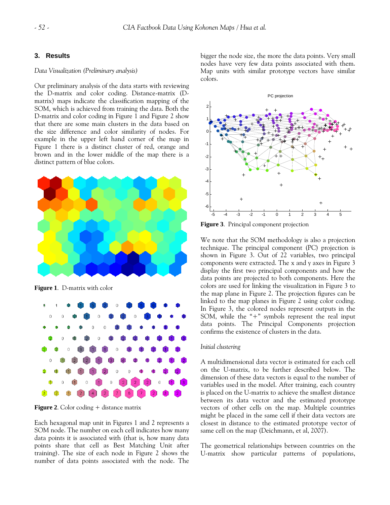# **3. Results**

#### *Data Visualization (Preliminary analysis)*

Our preliminary analysis of the data starts with reviewing the D-matrix and color coding. Distance-matrix (Dmatrix) maps indicate the classification mapping of the SOM, which is achieved from training the data. Both the D-matrix and color coding in Figure 1 and Figure 2 show that there are some main clusters in the data based on the size difference and color similarity of nodes. For example in the upper left hand corner of the map in Figure 1 there is a distinct cluster of red, orange and brown and in the lower middle of the map there is a distinct pattern of blue colors.



**Figure 1**. D-matrix with color



**Figure 2.** Color coding + distance matrix

Each hexagonal map unit in Figures 1 and 2 represents a SOM node. The number on each cell indicates how many data points it is associated with (that is, how many data points share that cell as Best Matching Unit after training). The size of each node in Figure 2 shows the number of data points associated with the node. The bigger the node size, the more the data points. Very small nodes have very few data points associated with them. Map units with similar prototype vectors have similar colors.



**Figure 3**. Principal component projection

We note that the SOM methodology is also a projection technique. The principal component (PC) projection is shown in Figure 3. Out of 22 variables, two principal components were extracted. The x and y axes in Figure 3 display the first two principal components and how the data points are projected to both components. Here the colors are used for linking the visualization in Figure 3 to the map plane in Figure 2. The projection figures can be linked to the map planes in Figure 2 using color coding. In Figure 3, the colored nodes represent outputs in the SOM, while the "+" symbols represent the real input data points. The Principal Components projection confirms the existence of clusters in the data.

#### *Initial clustering*

A multidimensional data vector is estimated for each cell on the U-matrix, to be further described below. The dimension of these data vectors is equal to the number of variables used in the model. After training, each country is placed on the U-matrix to achieve the smallest distance between its data vector and the estimated prototype vectors of other cells on the map. Multiple countries might be placed in the same cell if their data vectors are closest in distance to the estimated prototype vector of same cell on the map (Deichmann, et al, 2007).

The geometrical relationships between countries on the U-matrix show particular patterns of populations,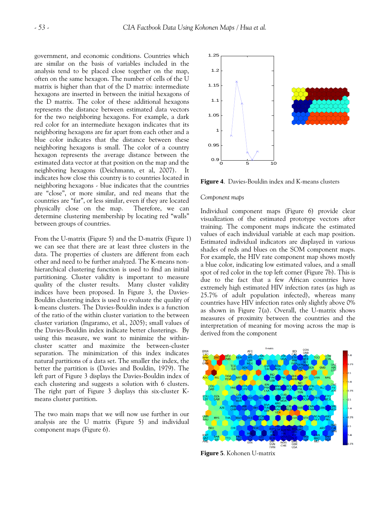government, and economic conditions. Countries which are similar on the basis of variables included in the analysis tend to be placed close together on the map, often on the same hexagon. The number of cells of the U matrix is higher than that of the D matrix: intermediate hexagons are inserted in between the initial hexagons of the D matrix. The color of these additional hexagons represents the distance between estimated data vectors for the two neighboring hexagons. For example, a dark red color for an intermediate hexagon indicates that its neighboring hexagons are far apart from each other and a blue color indicates that the distance between these neighboring hexagons is small. The color of a country hexagon represents the average distance between the estimated data vector at that position on the map and the neighboring hexagons (Deichmann, et al, 2007). It indicates how close this country is to countries located in neighboring hexagons - blue indicates that the countries are "close", or more similar, and red means that the countries are "far", or less similar, even if they are located physically close on the map. Therefore, we can determine clustering membership by locating red "walls" between groups of countries.

From the U-matrix (Figure 5) and the D-matrix (Figure 1) we can see that there are at least three clusters in the data. The properties of clusters are different from each other and need to be further analyzed. The K-means nonhierarchical clustering function is used to find an initial partitioning. Cluster validity is important to measure quality of the cluster results. Many cluster validity indices have been proposed. In Figure 3, the Davies-Bouldin clustering index is used to evaluate the quality of k-means clusters. The Davies-Bouldin index is a function of the ratio of the within cluster variation to the between cluster variation (Ingaramo, et al., 2005); small values of the Davies-Bouldin index indicate better clusterings. By using this measure, we want to minimize the withincluster scatter and maximize the between-cluster separation. The minimization of this index indicates natural partitions of a data set. The smaller the index, the better the partition is (Davies and Bouldin, 1979). The left part of Figure 3 displays the Davies-Bouldin index of each clustering and suggests a solution with 6 clusters. The right part of Figure 3 displays this six-cluster Kmeans cluster partition.

The two main maps that we will now use further in our analysis are the U matrix (Figure 5) and individual component maps (Figure 6).



**Figure 4**. Davies-Bouldin index and K-means clusters

#### *Component maps*

Individual component maps (Figure 6) provide clear visualization of the estimated prototype vectors after training. The component maps indicate the estimated values of each individual variable at each map position. Estimated individual indicators are displayed in various shades of reds and blues on the SOM component maps. For example, the HIV rate component map shows mostly a blue color, indicating low estimated values, and a small spot of red color in the top left corner (Figure 7b). This is due to the fact that a few African countries have extremely high estimated HIV infection rates (as high as 25.7% of adult population infected), whereas many countries have HIV infection rates only slightly above 0% as shown in Figure 7(a). Overall, the U-matrix shows measures of proximity between the countries and the interpretation of meaning for moving across the map is derived from the component



**Figure 5**. Kohonen U-matrix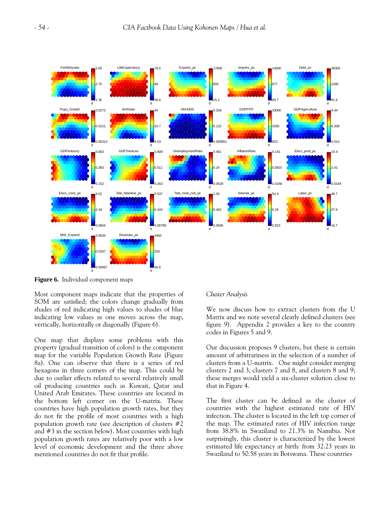

**Figure 6.** Individual component maps

Most component maps indicate that the properties of SOM are satisfied; the colors change gradually from shades of red indicating high values to shades of blue indicating low values as one moves across the map, vertically, horizontally or diagonally (Figure 6).

One map that displays some problems with this property (gradual transition of colors) is the component map for the variable Population Growth Rate (Figure 8a). One can observe that there is a series of red hexagons in three corners of the map. This could be due to outlier effects related to several relatively small oil producing countries such as Kuwait, Qatar and United Arab Emirates. These countries are located in the bottom left corner on the U-matrix. These countries have high population growth rates, but they do not fit the profile of most countries with a high population growth rate (see description of clusters #2 and #3 in the section below). Most countries with high population growth rates are relatively poor with a low level of economic development and the three above mentioned countries do not fit that profile.

# *Cluster Analysis*

We now discuss how to extract clusters from the U Matrix and we note several clearly defined clusters (see figure 9). Appendix 2 provides a key to the country codes in Figures 5 and 9.

Our discussion proposes 9 clusters, but there is certain amount of arbitrariness in the selection of a number of clusters from a U-matrix. One might consider merging clusters 2 and 3, clusters 7 and 8, and clusters 8 and 9; these merges would yield a six-cluster solution close to that in Figure 4.

The first cluster can be defined as the cluster of countries with the highest estimated rate of HIV infection. The cluster is located in the left top corner of the map. The estimated rates of HIV infection range from 38.8% in Swaziland to 21.3% in Namibia. Not surprisingly, this cluster is characterized by the lowest estimated life expectancy at birth: from 32.23 years in Swaziland to 50.58 years in Botswana. These countries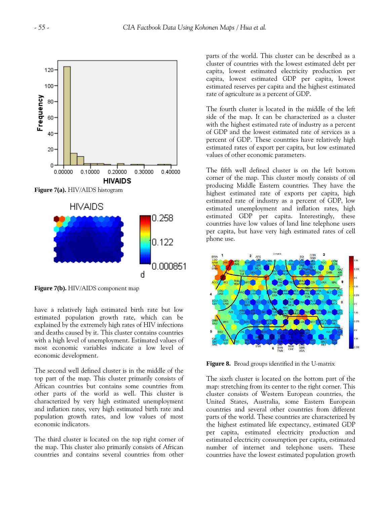

**Figure 7(b).** HIV/AIDS component map

have a relatively high estimated birth rate but low estimated population growth rate, which can be explained by the extremely high rates of HIV infections and deaths caused by it. This cluster contains countries with a high level of unemployment. Estimated values of most economic variables indicate a low level of economic development.

The second well defined cluster is in the middle of the top part of the map. This cluster primarily consists of African countries but contains some countries from other parts of the world as well. This cluster is characterized by very high estimated unemployment and inflation rates, very high estimated birth rate and population growth rates, and low values of most economic indicators.

The third cluster is located on the top right corner of the map. This cluster also primarily consists of African countries and contains several countries from other parts of the world. This cluster can be described as a cluster of countries with the lowest estimated debt per capita, lowest estimated electricity production per capita, lowest estimated GDP per capita, lowest estimated reserves per capita and the highest estimated rate of agriculture as a percent of GDP.

The fourth cluster is located in the middle of the left side of the map. It can be characterized as a cluster with the highest estimated rate of industry as a percent of GDP and the lowest estimated rate of services as a percent of GDP. These countries have relatively high estimated rates of export per capita, but low estimated values of other economic parameters.

The fifth well defined cluster is on the left bottom corner of the map. This cluster mostly consists of oil producing Middle Eastern countries. They have the highest estimated rate of exports per capita, high estimated rate of industry as a percent of GDP, low estimated unemployment and inflation rates, high estimated GDP per capita. Interestingly, these countries have low values of land line telephone users per capita, but have very high estimated rates of cell phone use.



**Figure 8.** Broad groups identified in the U-matrix

The sixth cluster is located on the bottom part of the map: stretching from its center to the right corner. This cluster consists of Western European countries, the United States, Australia, some Eastern European countries and several other countries from different parts of the world. These countries are characterized by the highest estimated life expectancy, estimated GDP per capita, estimated electricity production and estimated electricity consumption per capita, estimated number of internet and telephone users. These countries have the lowest estimated population growth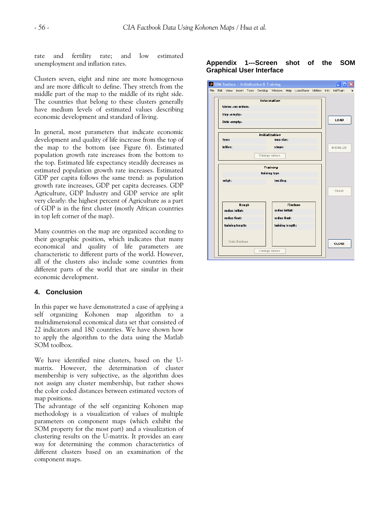rate and fertility rate; and low estimated unemployment and inflation rates. **Appendix 1---Screen shot of the SOM** 

Clusters seven, eight and nine are more homogenous and are more difficult to define. They stretch from the middle part of the map to the middle of its right side. The countries that belong to these clusters generally have medium levels of estimated values describing economic development and standard of living.

In general, most parameters that indicate economic development and quality of life increase from the top of the map to the bottom (see Figure 6). Estimated population growth rate increases from the bottom to the top. Estimated life expectancy steadily decreases as estimated population growth rate increases. Estimated GDP per capita follows the same trend: as population growth rate increases, GDP per capita decreases. GDP Agriculture, GDP Industry and GDP service are split very clearly: the highest percent of Agriculture as a part of GDP is in the first cluster (mostly African countries in top left corner of the map).

Many countries on the map are organized according to their geographic position, which indicates that many economical and quality of life parameters are characteristic to different parts of the world. However, all of the clusters also include some countries from different parts of the world that are similar in their economic development.

# **4. Conclusion**

In this paper we have demonstrated a case of applying a self organizing Kohonen map algorithm to a multidimensional economical data set that consisted of 22 indicators and 180 countries. We have shown how to apply the algorithm to the data using the Matlab SOM toolbox.

We have identified nine clusters, based on the Umatrix. However, the determination of cluster membership is very subjective, as the algorithm does not assign any cluster membership, but rather shows the color coded distances between estimated vectors of map positions.

The advantage of the self organizing Kohonen map methodology is a visualization of values of multiple parameters on component maps (which exhibit the SOM property for the most part) and a visualization of clustering results on the U-matrix. It provides an easy way for determining the common characteristics of different clusters based on an examination of the component maps.



#### Initialization map size: type: lattice: shape: NITIAL DE Change values Training training type neigh: tracking: TRAN Rough Finetune radius initial: radius initial: radius final: radius final: training length: training length: Only finetune **CLOSE** Change values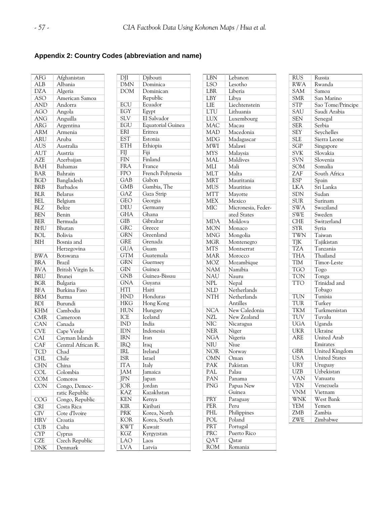# **Appendix 2: Country Codes (abbreviation and name)**

| AFG                                   | Afghanistan                     |
|---------------------------------------|---------------------------------|
| <b>ALB</b>                            | Albania                         |
| <b>DZA</b>                            | Algeria                         |
| $\overline{ASO}$                      | American Samoa                  |
| <b>AND</b>                            | Andorra                         |
| <b>AGO</b>                            | Angola                          |
| <b>ANG</b>                            | Anguilla                        |
| ARG                                   | Argentina                       |
| <b>ARM</b>                            | Armenia                         |
| ARU                                   | Aruba                           |
| <b>AUS</b>                            | Australia                       |
| AUT                                   | Austria                         |
| <b>AZE</b>                            | Azerbaijan                      |
| <b>BAH</b>                            | Bahamas                         |
| <b>BAR</b>                            | Bahrain                         |
| <b>BGD</b>                            | Bangladesh                      |
| <b>BRB</b>                            | Barbados                        |
| <b>BLR</b>                            | Belarus                         |
| <b>BEL</b>                            | Belgium                         |
| <b>BLZ</b>                            | Belize                          |
| BEN                                   | Benin                           |
| <b>BER</b>                            | Bermuda                         |
| <b>BHU</b>                            | Bhutan                          |
| <b>BOL</b>                            | Bolivia                         |
| <b>BIH</b>                            | Bosnia and                      |
|                                       | Herzegovina                     |
| <b>BWA</b>                            | Botswana                        |
| <b>BRA</b>                            | <b>Brazil</b>                   |
| <b>BVA</b>                            | British Virgin Is.              |
| <b>BRU</b>                            | Brunei                          |
| <b>BGR</b>                            |                                 |
| <b>BFA</b>                            | Bulgaria<br><b>Burkina</b> Faso |
| <b>BRM</b>                            |                                 |
| <b>BDI</b>                            | Burma<br>Burundi                |
|                                       |                                 |
| <b>KHM</b>                            | Cambodia                        |
| CMR<br>CAN                            | Cameroon<br>Canada              |
| $\overline{\text{CVE}}$               |                                 |
|                                       | Cape Verde                      |
| CAI                                   | Cayman Islands                  |
| CAF                                   | Central African R.<br>Chad      |
| TCD                                   |                                 |
| <b>CHL</b><br>$\overline{\text{CHN}}$ | $\overline{\text{Chile}}$       |
|                                       | $\overline{\text{China}}$       |
| COL                                   | Colombia                        |
| <b>COM</b>                            | Comoros                         |
| <b>CON</b>                            | Congo, Democ-                   |
|                                       | ratic Republic                  |
| COG                                   | Congo, Republic                 |
| <b>CRI</b>                            | Costa Rica                      |
| <b>CIV</b>                            | Cote d'Ivoire                   |
| HRV                                   | Croatia                         |
| CUB                                   | $\overline{\text{Cuba}}$        |
| $\overline{CYP}$                      | $\overline{\text{C}}$ yprus     |
| <b>CZE</b>                            | Czech Republic                  |
| DNK                                   | Denmark                         |

| $\overline{\rm D}$ II   | Djibouti                 |
|-------------------------|--------------------------|
| <b>DMN</b>              | Dominica                 |
| <b>DOM</b>              | Dominican                |
|                         | Republic                 |
| ECU                     | Ecuador                  |
| EGY                     | Egypt                    |
|                         | El Salvador              |
| SLV<br>EGU              | <b>Equatorial Guinea</b> |
| ERI                     | Eritrea                  |
| <b>EST</b>              | Estonia                  |
| ETH                     | Ethiopia                 |
| FIJ                     | Fiji                     |
| <b>FIN</b>              | Finland                  |
| <b>FRA</b>              | France                   |
| <b>FPO</b>              | French Polynesia         |
| GAB                     | Gabon                    |
| <b>GMB</b>              | Gambia, The              |
| GAZ                     | Gaza Strip               |
| GEO                     | Georgia                  |
| DEU                     | Germany                  |
| <b>GHA</b>              | Ghana                    |
| <b>GIB</b>              | Gibraltar                |
| GRC                     | Greece                   |
| <b>GRN</b>              | Greenland                |
| <b>GRE</b>              | Grenada                  |
| <b>GUA</b>              | Guam                     |
| <b>GTM</b>              | Guatemala                |
| <b>GRN</b>              | Guernsey                 |
| GIN                     | Guinea                   |
| <b>GNB</b>              | Guinea-Bissau            |
| <b>GNA</b>              | Guyana                   |
| $\overline{\text{HTI}}$ | Haiti                    |
| HND                     | Honduras                 |
| HKG                     | Hong Kong                |
| <b>HUN</b>              | Hungary                  |
| ICE                     | Iceland                  |
| <b>IND</b>              | India                    |
| IDN                     | Indonesia                |
| IRN                     | Iran                     |
| IRQ                     | Iraq                     |
| <b>IRL</b>              | Ireland                  |
| <b>ISR</b>              | <b>Israel</b>            |
| <b>ITA</b>              | Italy                    |
| JAM                     | Jamaica                  |
| JPN                     | Japan                    |
| <b>JOR</b>              | Jordan                   |
| KAZ                     | Kazakhstan               |
| <b>KEN</b>              | Kenya                    |
| KIR                     | Kiribati                 |
| PRK                     | Korea, North             |
| KOR                     | Korea, South             |
| <b>KWT</b>              | Kuwait                   |
| KGZ                     | Kyrgyzstan               |
| LAO                     | Laos                     |
| LVA                     | Latvia                   |
|                         |                          |

| LBN                     | Lebanon                   |
|-------------------------|---------------------------|
| <b>LSO</b>              | Lesotho                   |
| LBR                     | Liberia                   |
| LBY                     | Libya                     |
| LIE                     | Liechtenstein             |
| LTU                     | Lithuania                 |
| LUX                     | Luxembourg                |
| <b>MAC</b>              | Macau                     |
| <b>MAD</b>              | Macedonia                 |
| MDG                     | Madagascar                |
| MWI                     | Malawi                    |
| <b>MYS</b>              | Malaysia                  |
| MAL                     | Maldives                  |
| MLI                     | Mali                      |
| MLT                     | Malta                     |
| <b>MRT</b>              | Mauritania                |
| MUS                     | Mauritius                 |
| <b>MTT</b>              | Mayotte                   |
| <b>MEX</b>              | Mexico                    |
| MIC                     | Micronesia, Feder-        |
|                         | ated States               |
| MDA                     | Moldova                   |
| <b>MON</b>              | Monaco                    |
| <b>MNG</b>              | Mongolia                  |
| <b>MGR</b>              | Montenegro                |
| <b>MTS</b>              | Montserrat                |
| MAR                     | Morocco                   |
| MOZ                     | Mozambique                |
| <b>NAM</b>              | Namibia                   |
| NAU                     | Nauru                     |
| $\overline{\text{NPL}}$ | Nepal                     |
| NLD                     | Netherlands               |
| $\overline{\text{NTH}}$ | Netherlands               |
|                         | Antilles                  |
| <b>NCA</b>              | New Caledonia             |
| NZL                     | New Zealand               |
| NIC                     | Nicaragua                 |
| <b>NER</b>              | Niger                     |
| <b>NGA</b>              | Nigeria                   |
| NIU                     | Niue                      |
| NOR                     | Norway                    |
| $\overline{\text{OMN}}$ | $\overline{\text{O}}$ man |
| PAK                     | Pakistan                  |
| PAL                     | Palau                     |
| PAN                     | Panama                    |
| PNG                     |                           |
|                         | Papua New<br>Guinea       |
| PRY                     | Paraguay                  |
| PER                     | Peru                      |
| PHL                     | Philippines               |
| POL                     | Poland                    |
| PRT                     | Portugal                  |
| PRC                     | Puerto Rico               |
| QAT                     | Qatar                     |
| <b>ROM</b>              | Romania                   |
|                         |                           |

| <b>RUS</b>                     | Russia                     |
|--------------------------------|----------------------------|
| <b>RWA</b>                     | Rwanda                     |
| SAM                            | Samoa                      |
| $\overline{\text{S}}\text{MR}$ | San Marino                 |
| $\overline{\text{STP}}$        | Sao Tome/Principe          |
| sau                            | Saudi Arabia               |
| <b>SEN</b>                     | Senegal                    |
|                                | Serbia                     |
| SER<br><b>SEY</b>              |                            |
| $\overline{\text{SLE}}$        | Seychelles<br>Sierra Leone |
| SGP                            |                            |
| <b>SVK</b>                     | Singapore<br>Slovakia      |
|                                |                            |
| <b>SVN</b>                     | Slovenia                   |
| <b>SOM</b>                     | Somalia                    |
| ZAF                            | South Africa               |
| ESP                            | Spain                      |
| LKA                            | Sri Lanka                  |
| <b>SDN</b>                     | Sudan                      |
| <b>SUR</b>                     | Surinam                    |
| <b>SWA</b>                     | Swaziland                  |
| <b>SWE</b>                     | Sweden                     |
| <b>CHE</b>                     | Switzerland                |
| SYR                            | Syria                      |
| TWN                            | Taiwan                     |
| TJK                            | Tajikistan                 |
| <b>TZA</b>                     | Tanzania                   |
| THA                            | Thailand                   |
| TIM                            | Timor-Leste                |
| <b>TGO</b>                     | Togo                       |
| <b>TON</b>                     | Tonga                      |
| <b>TTO</b>                     | Trinidad and               |
|                                | Tobago                     |
| TUN                            | Tunisia                    |
| TUR                            | Turkey                     |
| <b>TKM</b>                     | Turkmenistan               |
| TUV                            | Tuvalu                     |
| <b>UGA</b>                     | Uganda                     |
| UKR                            | Ukraine                    |
| ARE                            | United Arab                |
|                                | Emirates                   |
| $\overline{\text{GBR}}$        | United Kingdom             |
| <b>USA</b>                     | <b>United States</b>       |
| URY                            | Uruguay                    |
| <b>UZB</b>                     | Uzbekistan                 |
| <b>VAN</b>                     | Vanuatu                    |
| <b>VEN</b>                     | Venezuela                  |
| <b>VNM</b>                     | Vietnam                    |
| <b>WNK</b>                     | West Bank                  |
| YEM                            | Yemen                      |
| ZMB                            | Zambia                     |
| ZWE                            | Zimbabwe                   |
|                                |                            |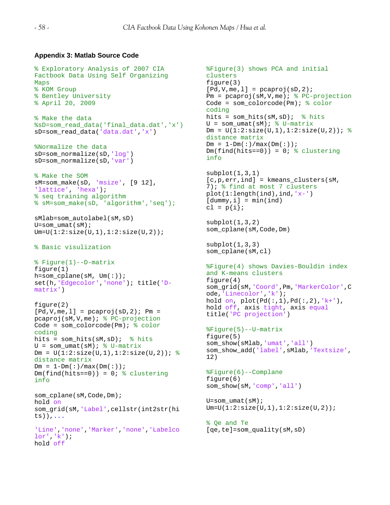# **Appendix 3: Matlab Source Code**

% Exploratory Analysis of 2007 CIA

```
Factbook Data Using Self Organizing 
Maps 
% KOM Group 
% Bentley University
% April 20, 2009 
% Make the data
%sD=som_read_data('final_data.dat','x')
sD=som_read_data('data.dat','x')
%Normalize the data
sD=som_normalize(sD,'log')
sD=som_normalize(sD,'var')
% Make the SOM
sM=som_make(sD, 'msize', [9 12], 
'lattice', 'hexa');
% seq training algorithm
% sM=som_make(sD, 'algorithm','seq');
sMlab=som_autolabel(sM,sD)
U=som umat(sM);Um=U(1:2:size(U,1),1:2:size(U,2));% Basic visulization
% Figure(1)--D-matrix
figure(1)
h=som cplane(sM, Um(:);set(h,'Edgecolor','none'); title('D-
matrix')
figure(2)
[Pd, V, me, 1] = pcaproj(sD, 2); Pm =
pcaproj(sM,V,me); % PC-projection
Code = som_colorcode(Pm); % color 
coding
hits = som_hits(sM, sD); \frac{1}{2} hits
U = som umat(sM); \frac{1}{6} U-matrix
Dm = U(1:2:size(U,1), 1:2:size(U,2)); %
distance matrix
Dm = 1-Dm(: )/max(Dm(: ));Dm(find(hits==0)) = 0; % clustering
info
som cplane(sM,Code,Dm);
hold on
som_grid(sM,'Label',cellstr(int2str(hi
ts)),...
'Line','none','Marker','none','Labelco
lor','k');
hold off
```

```
%Figure(3) shows PCA and initial 
clusters
figure(3)
[Pd, V, me, 1] = peaproj(sD, 2);Pm = pcaproj(SM,V,me); % PC-projection
Code = som_colorcode(Pm); % color 
coding
hits = som\_hits(sM, sD); % hits
U = som umat(sM); % U-matrixDm = U(1:2:size(U,1),1:2:size(U,2)); %
distance matrix
Dm = 1-Dm( : )/max(Dm( : )) ;
Dm(find(hits==0)) = 0; % clusteringinfo
subplot(1,3,1)[c, p, err, ind] = kmeans_clusters(sM,
```

```
7); % find at most 7 clusters
plot(1:length(ind),ind,'x-')
[dummy,i] = min(ind)cl = p\{i\};
```

```
subplot(1,3,2)som_cplane(sM,Code,Dm)
```

```
subplot(1,3,3)som_cplane(sM,cl)
```

```
%Figure(4) shows Davies-Bouldin index 
and K-means clusters
figure(4)
som_grid(sM,'Coord',Pm,'MarkerColor',C
ode,'Linecolor','k');
hold on, plot(Pd(:,1),Pd(:,2),'k+'),
hold off, axis tight, axis equal
title('PC projection')
```

```
%Figure(5)--U-matrix
figure(5)
som_show(sMlab,'umat','all')
som_show_add('label',sMlab,'Textsize',
12)
```

```
%Figure(6)--Complane
figure(6)
som_show(sM,'comp','all')
```

```
U=som_umat(sM);
Um=U(1:2:size(U,1),1:2:size(U,2));
```

```
% Qe and Te
[qe,te]=som_quality(sM,sD)
```